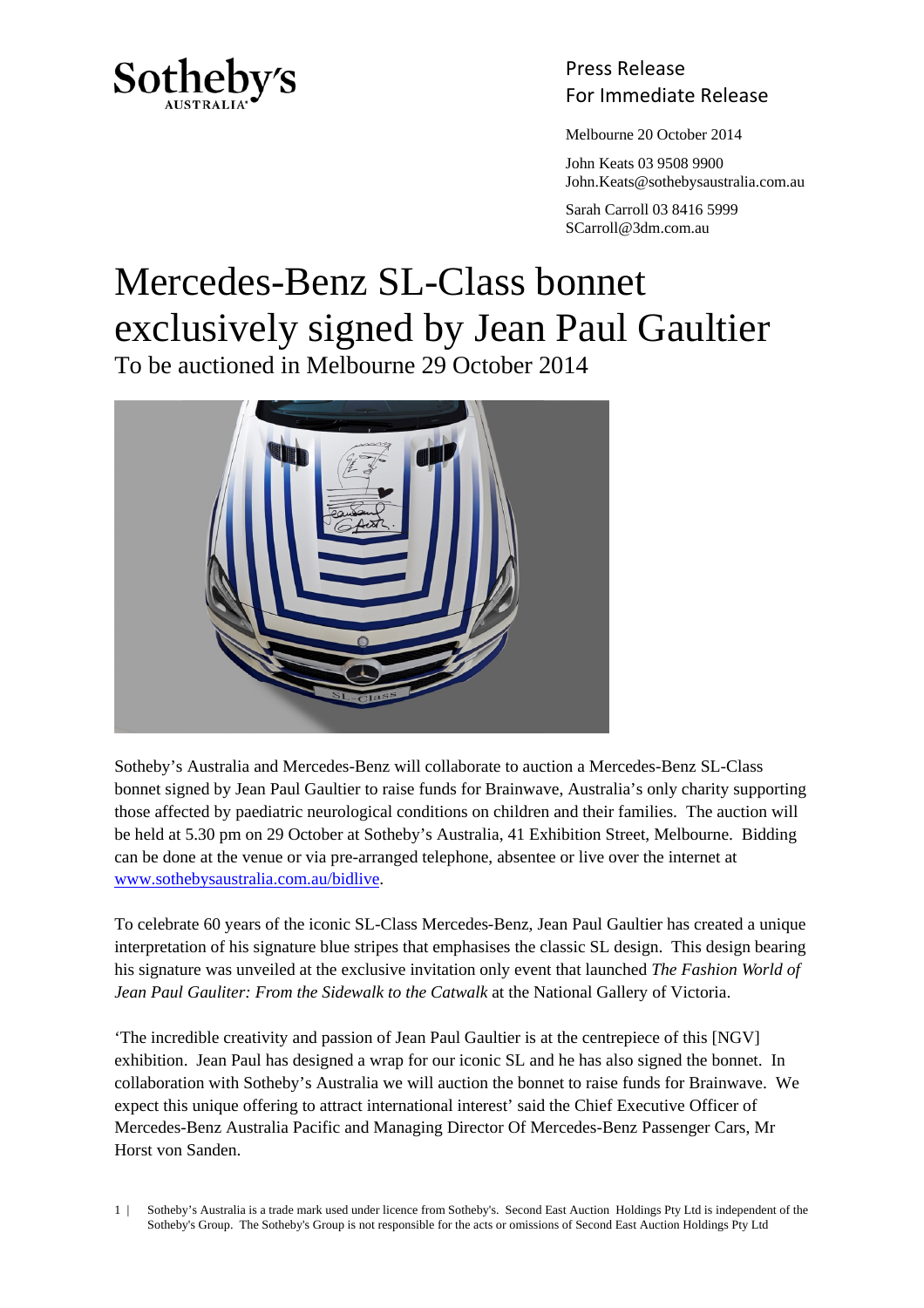

Press Release Sotheby's<br>For Immediate Release

Melbourne 20 October 2014

 John Keats 03 9508 9900 John.Keats@sothebysaustralia.com.au

 Sarah Carroll 03 8416 5999 SCarroll@3dm.com.au

## Mercedes-Benz SL-Class bonnet exclusively signed by Jean Paul Gaultier

To be auctioned in Melbourne 29 October 2014



Sotheby's Australia and Mercedes-Benz will collaborate to auction a Mercedes-Benz SL-Class bonnet signed by Jean Paul Gaultier to raise funds for Brainwave, Australia's only charity supporting those affected by paediatric neurological conditions on children and their families. The auction will be held at 5.30 pm on 29 October at Sotheby's Australia, 41 Exhibition Street, Melbourne. Bidding can be done at the venue or via pre-arranged telephone, absentee or live over the internet at www.sothebysaustralia.com.au/bidlive.

To celebrate 60 years of the iconic SL-Class Mercedes-Benz, Jean Paul Gaultier has created a unique interpretation of his signature blue stripes that emphasises the classic SL design. This design bearing his signature was unveiled at the exclusive invitation only event that launched *The Fashion World of Jean Paul Gauliter: From the Sidewalk to the Catwalk* at the National Gallery of Victoria.

'The incredible creativity and passion of Jean Paul Gaultier is at the centrepiece of this [NGV] exhibition. Jean Paul has designed a wrap for our iconic SL and he has also signed the bonnet. In collaboration with Sotheby's Australia we will auction the bonnet to raise funds for Brainwave. We expect this unique offering to attract international interest' said the Chief Executive Officer of Mercedes-Benz Australia Pacific and Managing Director Of Mercedes-Benz Passenger Cars, Mr Horst von Sanden.

1 | Sotheby's Australia is a trade mark used under licence from Sotheby's. Second East Auction Holdings Pty Ltd is independent of the Sotheby's Group. The Sotheby's Group is not responsible for the acts or omissions of Second East Auction Holdings Pty Ltd